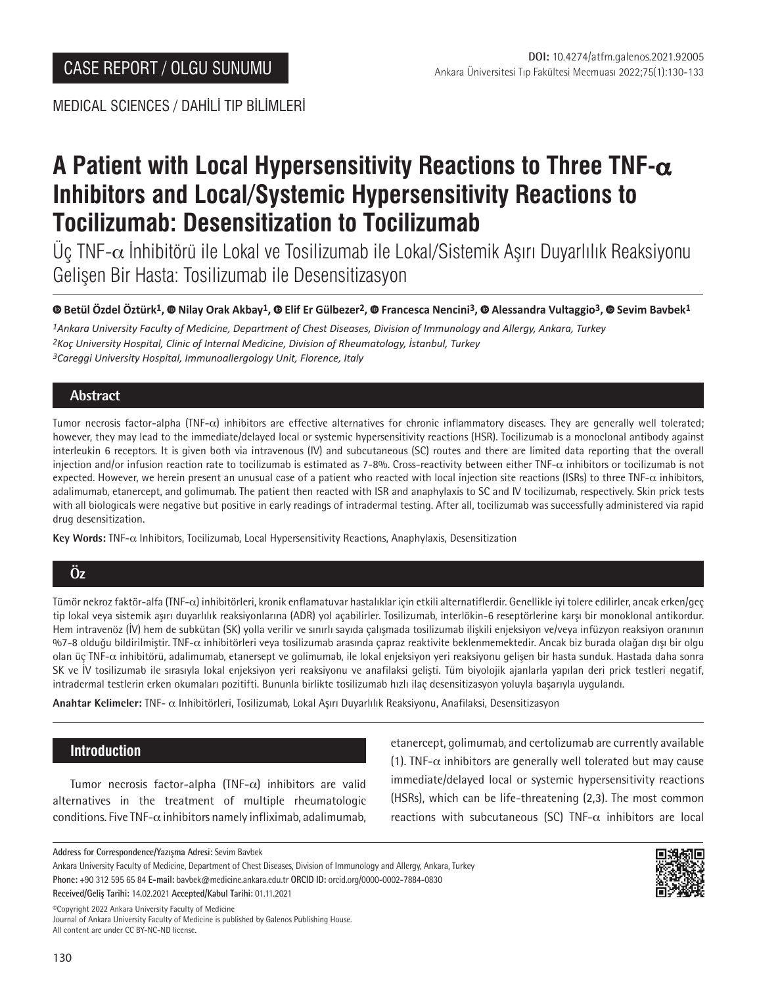MEDICAL SCIENCES / DAHİLİ TIP BİLİMLERİ

# **A Patient with Local Hypersensitivity Reactions to Three TNF-**α **Inhibitors and Local/Systemic Hypersensitivity Reactions to Tocilizumab: Desensitization to Tocilizumab**

Üç TNF- $\alpha$  İnhibitörü ile Lokal ve Tosilizumab ile Lokal/Sistemik Aşırı Duyarlılık Reaksiyonu Gelişen Bir Hasta: Tosilizumab ile Desensitizasyon

#### **Betül Özdel Öztürk1,Nilay Orak Akbay1,Elif Er Gülbezer2, Francesca Nencini3,Alessandra Vultaggio3, Sevim Bavbek1**

*1Ankara University Faculty of Medicine, Department of Chest Diseases, Division of Immunology and Allergy, Ankara, Turkey 2Koç University Hospital, Clinic of Internal Medicine, Division of Rheumatology, İstanbul, Turkey 3Careggi University Hospital, Immunoallergology Unit, Florence, Italy*

## **Abstract**

Tumor necrosis factor-alpha (TNF-α) inhibitors are effective alternatives for chronic inflammatory diseases. They are generally well tolerated; however, they may lead to the immediate/delayed local or systemic hypersensitivity reactions (HSR). Tocilizumab is a monoclonal antibody against interleukin 6 receptors. It is given both via intravenous (IV) and subcutaneous (SC) routes and there are limited data reporting that the overall injection and/or infusion reaction rate to tocilizumab is estimated as 7-8%. Cross-reactivity between either TNF-α inhibitors or tocilizumab is not expected. However, we herein present an unusual case of a patient who reacted with local injection site reactions (ISRs) to three TNF-α inhibitors, adalimumab, etanercept, and golimumab. The patient then reacted with ISR and anaphylaxis to SC and IV tocilizumab, respectively. Skin prick tests with all biologicals were negative but positive in early readings of intradermal testing. After all, tocilizumab was successfully administered via rapid drug desensitization.

**Key Words:** TNF-α Inhibitors, Tocilizumab, Local Hypersensitivity Reactions, Anaphylaxis, Desensitization

## **Öz**

Tümör nekroz faktör-alfa (TNF-α) inhibitörleri, kronik enflamatuvar hastalıklar için etkili alternatiflerdir. Genellikle iyi tolere edilirler, ancak erken/geç tip lokal veya sistemik aşırı duyarlılık reaksiyonlarına (ADR) yol açabilirler. Tosilizumab, interlökin-6 reseptörlerine karşı bir monoklonal antikordur. Hem intravenöz (İV) hem de subkütan (SK) yolla verilir ve sınırlı sayıda çalışmada tosilizumab ilişkili enjeksiyon ve/veya infüzyon reaksiyon oranının %7-8 olduğu bildirilmiştir. TNF-α inhibitörleri veya tosilizumab arasında çapraz reaktivite beklenmemektedir. Ancak biz burada olağan dışı bir olgu olan üç TNF-α inhibitörü, adalimumab, etanersept ve golimumab, ile lokal enjeksiyon yeri reaksiyonu gelişen bir hasta sunduk. Hastada daha sonra SK ve İV tosilizumab ile sırasıyla lokal enjeksiyon yeri reaksiyonu ve anafilaksi gelişti. Tüm biyolojik ajanlarla yapılan deri prick testleri negatif, intradermal testlerin erken okumaları pozitifti. Bununla birlikte tosilizumab hızlı ilaç desensitizasyon yoluyla başarıyla uygulandı.

**Anahtar Kelimeler:** TNF- α Inhibitörleri, Tosilizumab, Lokal Aşırı Duyarlılık Reaksiyonu, Anafilaksi, Desensitizasyon

## **Introduction**

Tumor necrosis factor-alpha (TNF- $\alpha$ ) inhibitors are valid alternatives in the treatment of multiple rheumatologic conditions. Five TNF- $\alpha$  inhibitors namely infliximab, adalimumab,

etanercept, golimumab, and certolizumab are currently available (1). TNF- $\alpha$  inhibitors are generally well tolerated but may cause immediate/delayed local or systemic hypersensitivity reactions (HSRs), which can be life-threatening (2,3). The most common reactions with subcutaneous (SC) TNF- $\alpha$  inhibitors are local

**Address for Correspondence/Yazışma Adresi:** Sevim Bavbek

Ankara University Faculty of Medicine, Department of Chest Diseases, Division of Immunology and Allergy, Ankara, Turkey **Phone:** +90 312 595 65 84 **E-mail:** bavbek@medicine.ankara.edu.tr **ORCID ID:** orcid.org/0000-0002-7884-0830

**Received/Geliş Tarihi:** 14.02.2021 **Accepted/Kabul Tarihi:** 01.11.2021

©️Copyright 2022 Ankara University Faculty of Medicine

Journal of Ankara University Faculty of Medicine is published by Galenos Publishing House. All content are under CC BY-NC-ND license.

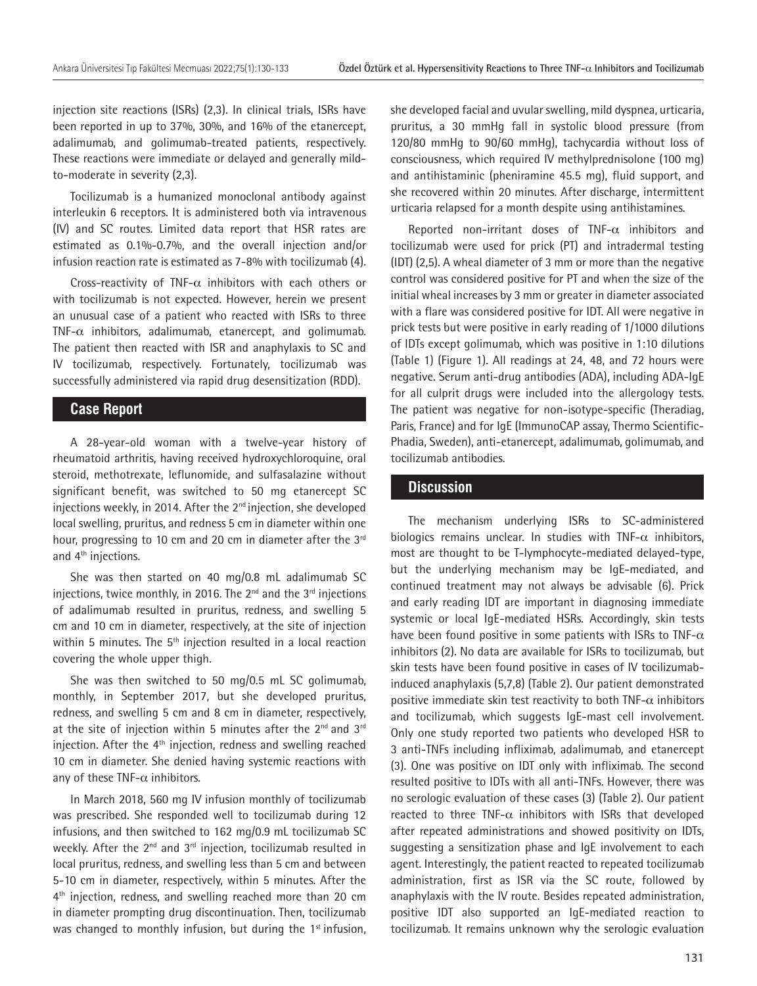injection site reactions (ISRs) (2,3). In clinical trials, ISRs have been reported in up to 37%, 30%, and 16% of the etanercept, adalimumab, and golimumab-treated patients, respectively. These reactions were immediate or delayed and generally mildto-moderate in severity (2,3).

Tocilizumab is a humanized monoclonal antibody against interleukin 6 receptors. It is administered both via intravenous (IV) and SC routes. Limited data report that HSR rates are estimated as 0.1%-0.7%, and the overall injection and/or infusion reaction rate is estimated as 7-8% with tocilizumab (4).

Cross-reactivity of TNF- $\alpha$  inhibitors with each others or with tocilizumab is not expected. However, herein we present an unusual case of a patient who reacted with ISRs to three TNF- $\alpha$  inhibitors, adalimumab, etanercept, and golimumab. The patient then reacted with ISR and anaphylaxis to SC and IV tocilizumab, respectively. Fortunately, tocilizumab was successfully administered via rapid drug desensitization (RDD).

### **Case Report**

A 28-year-old woman with a twelve-year history of rheumatoid arthritis, having received hydroxychloroquine, oral steroid, methotrexate, leflunomide, and sulfasalazine without significant benefit, was switched to 50 mg etanercept SC injections weekly, in 2014. After the 2<sup>nd</sup> injection, she developed local swelling, pruritus, and redness 5 cm in diameter within one hour, progressing to 10 cm and 20 cm in diameter after the 3<sup>rd</sup> and 4<sup>th</sup> injections.

She was then started on 40 mg/0.8 mL adalimumab SC injections, twice monthly, in 2016. The  $2^{nd}$  and the  $3^{rd}$  injections of adalimumab resulted in pruritus, redness, and swelling 5 cm and 10 cm in diameter, respectively, at the site of injection within 5 minutes. The  $5<sup>th</sup>$  injection resulted in a local reaction covering the whole upper thigh.

She was then switched to 50 mg/0.5 mL SC golimumab, monthly, in September 2017, but she developed pruritus, redness, and swelling 5 cm and 8 cm in diameter, respectively, at the site of injection within 5 minutes after the  $2^{nd}$  and  $3^{rd}$ injection. After the  $4<sup>th</sup>$  injection, redness and swelling reached 10 cm in diameter. She denied having systemic reactions with any of these TNF- $\alpha$  inhibitors.

In March 2018, 560 mg IV infusion monthly of tocilizumab was prescribed. She responded well to tocilizumab during 12 infusions, and then switched to 162 mg/0.9 mL tocilizumab SC weekly. After the  $2^{nd}$  and  $3^{rd}$  injection, tocilizumab resulted in local pruritus, redness, and swelling less than 5 cm and between 5-10 cm in diameter, respectively, within 5 minutes. After the 4<sup>th</sup> injection, redness, and swelling reached more than 20 cm in diameter prompting drug discontinuation. Then, tocilizumab was changed to monthly infusion, but during the  $1<sup>st</sup>$  infusion,

she developed facial and uvular swelling, mild dyspnea, urticaria, pruritus, a 30 mmHg fall in systolic blood pressure (from 120/80 mmHg to 90/60 mmHg), tachycardia without loss of consciousness, which required IV methylprednisolone (100 mg) and antihistaminic (pheniramine 45.5 mg), fluid support, and she recovered within 20 minutes. After discharge, intermittent urticaria relapsed for a month despite using antihistamines.

Reported non-irritant doses of TNF- $\alpha$  inhibitors and tocilizumab were used for prick (PT) and intradermal testing (IDT) (2,5). A wheal diameter of 3 mm or more than the negative control was considered positive for PT and when the size of the initial wheal increases by 3 mm or greater in diameter associated with a flare was considered positive for IDT. All were negative in prick tests but were positive in early reading of 1/1000 dilutions of IDTs except golimumab, which was positive in 1:10 dilutions (Table 1) (Figure 1). All readings at 24, 48, and 72 hours were negative. Serum anti-drug antibodies (ADA), including ADA-IgE for all culprit drugs were included into the allergology tests. The patient was negative for non-isotype-specific (Theradiag, Paris, France) and for IgE (ImmunoCAP assay, Thermo Scientific-Phadia, Sweden), anti-etanercept, adalimumab, golimumab, and tocilizumab antibodies.

#### **Discussion**

The mechanism underlying ISRs to SC-administered biologics remains unclear. In studies with TNF- $\alpha$  inhibitors, most are thought to be T-lymphocyte-mediated delayed-type, but the underlying mechanism may be IgE-mediated, and continued treatment may not always be advisable (6). Prick and early reading IDT are important in diagnosing immediate systemic or local IgE-mediated HSRs. Accordingly, skin tests have been found positive in some patients with ISRs to TNF- $\alpha$ inhibitors (2). No data are available for ISRs to tocilizumab, but skin tests have been found positive in cases of IV tocilizumabinduced anaphylaxis (5,7,8) (Table 2). Our patient demonstrated positive immediate skin test reactivity to both TNF- $\alpha$  inhibitors and tocilizumab, which suggests IgE-mast cell involvement. Only one study reported two patients who developed HSR to 3 anti-TNFs including infliximab, adalimumab, and etanercept (3). One was positive on IDT only with infliximab. The second resulted positive to IDTs with all anti-TNFs. However, there was no serologic evaluation of these cases (3) (Table 2). Our patient reacted to three TNF- $\alpha$  inhibitors with ISRs that developed after repeated administrations and showed positivity on IDTs, suggesting a sensitization phase and IgE involvement to each agent. Interestingly, the patient reacted to repeated tocilizumab administration, first as ISR via the SC route, followed by anaphylaxis with the IV route. Besides repeated administration, positive IDT also supported an IgE-mediated reaction to tocilizumab. It remains unknown why the serologic evaluation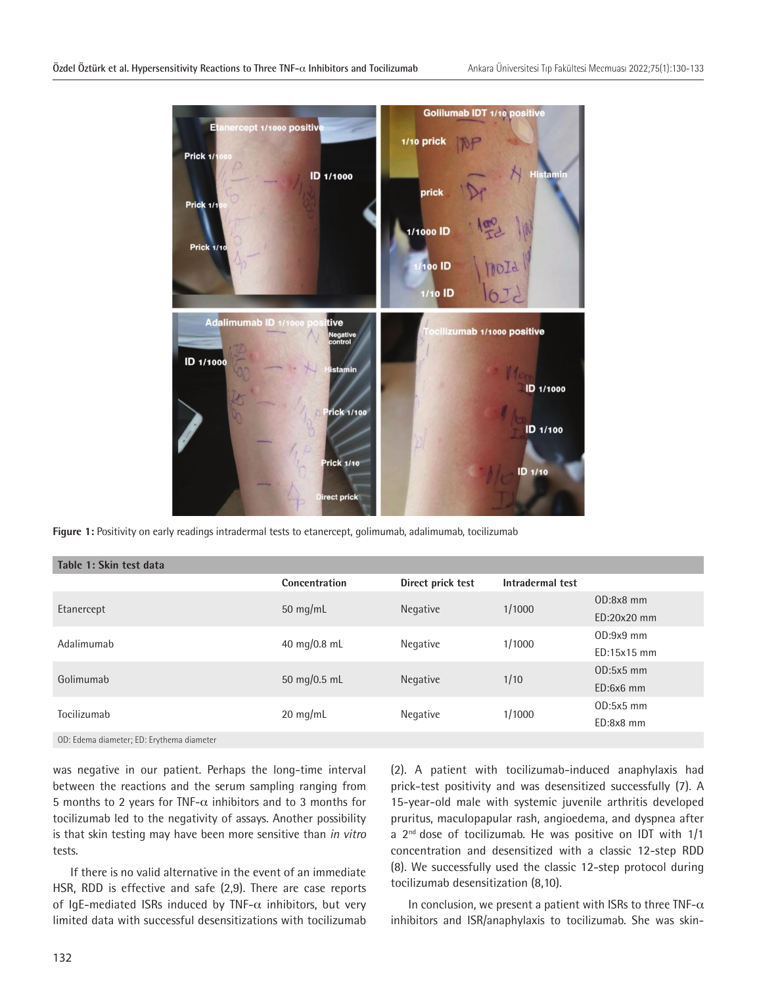

**Figure 1:** Positivity on early readings intradermal tests to etanercept, golimumab, adalimumab, tocilizumab

| Table 1: Skin test data                   |               |                   |                  |               |  |  |  |  |
|-------------------------------------------|---------------|-------------------|------------------|---------------|--|--|--|--|
|                                           | Concentration | Direct prick test | Intradermal test |               |  |  |  |  |
|                                           | 50 mg/mL      | Negative          | 1/1000           | $OD:8x8$ mm   |  |  |  |  |
| Etanercept                                |               |                   |                  | $ED:20x20$ mm |  |  |  |  |
| Adalimumab                                | 40 mg/0.8 mL  | Negative          | 1/1000           | $OD:9x9$ mm   |  |  |  |  |
|                                           |               |                   |                  | $ED:15x15$ mm |  |  |  |  |
| Golimumab                                 | 50 mg/0.5 mL  | Negative          | 1/10             | $OD:5x5$ mm   |  |  |  |  |
|                                           |               |                   |                  | $ED:6x6$ mm   |  |  |  |  |
| Tocilizumab                               | $20$ mg/mL    | Negative          | 1/1000           | $OD:5x5$ mm   |  |  |  |  |
|                                           |               |                   |                  | $ED: 8x8$ mm  |  |  |  |  |
| OD: Edema diameter; ED: Erythema diameter |               |                   |                  |               |  |  |  |  |

was negative in our patient. Perhaps the long-time interval between the reactions and the serum sampling ranging from 5 months to 2 years for TNF- $\alpha$  inhibitors and to 3 months for tocilizumab led to the negativity of assays. Another possibility is that skin testing may have been more sensitive than *in vitro* tests.

If there is no valid alternative in the event of an immediate HSR, RDD is effective and safe (2,9). There are case reports of IqE-mediated ISRs induced by TNF- $\alpha$  inhibitors, but very limited data with successful desensitizations with tocilizumab

(2). A patient with tocilizumab-induced anaphylaxis had prick-test positivity and was desensitized successfully (7). A 15-year-old male with systemic juvenile arthritis developed pruritus, maculopapular rash, angioedema, and dyspnea after a  $2^{nd}$  dose of tocilizumab. He was positive on IDT with  $1/1$ concentration and desensitized with a classic 12-step RDD (8). We successfully used the classic 12-step protocol during tocilizumab desensitization (8,10).

In conclusion, we present a patient with ISRs to three TNF- $\alpha$ inhibitors and ISR/anaphylaxis to tocilizumab. She was skin-